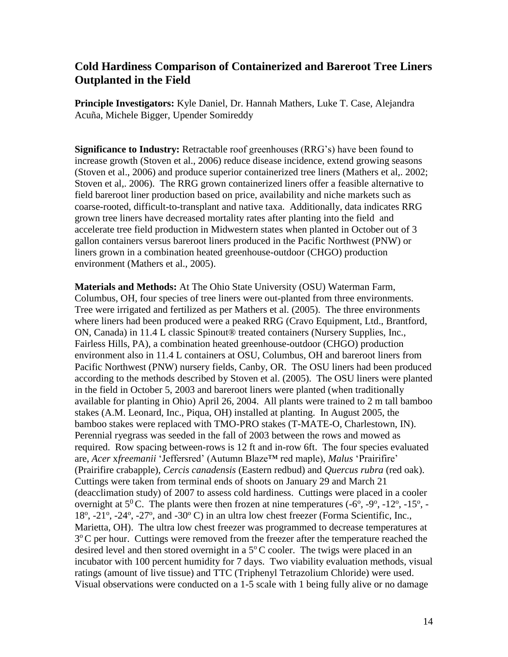## **Cold Hardiness Comparison of Containerized and Bareroot Tree Liners Outplanted in the Field**

**Principle Investigators:** Kyle Daniel, Dr. Hannah Mathers, Luke T. Case, Alejandra Acuña, Michele Bigger, Upender Somireddy

**Significance to Industry:** Retractable roof greenhouses (RRG's) have been found to increase growth (Stoven et al., 2006) reduce disease incidence, extend growing seasons (Stoven et al., 2006) and produce superior containerized tree liners (Mathers et al,. 2002; Stoven et al,. 2006). The RRG grown containerized liners offer a feasible alternative to field bareroot liner production based on price, availability and niche markets such as coarse-rooted, difficult-to-transplant and native taxa. Additionally, data indicates RRG grown tree liners have decreased mortality rates after planting into the field and accelerate tree field production in Midwestern states when planted in October out of 3 gallon containers versus bareroot liners produced in the Pacific Northwest (PNW) or liners grown in a combination heated greenhouse-outdoor (CHGO) production environment (Mathers et al., 2005).

**Materials and Methods:** At The Ohio State University (OSU) Waterman Farm, Columbus, OH, four species of tree liners were out-planted from three environments. Tree were irrigated and fertilized as per Mathers et al. (2005). The three environments where liners had been produced were a peaked RRG (Cravo Equipment, Ltd., Brantford, ON, Canada) in 11.4 L classic Spinout® treated containers (Nursery Supplies, Inc., Fairless Hills, PA), a combination heated greenhouse-outdoor (CHGO) production environment also in 11.4 L containers at OSU, Columbus, OH and bareroot liners from Pacific Northwest (PNW) nursery fields, Canby, OR. The OSU liners had been produced according to the methods described by Stoven et al. (2005). The OSU liners were planted in the field in October 5, 2003 and bareroot liners were planted (when traditionally available for planting in Ohio) April 26, 2004. All plants were trained to 2 m tall bamboo stakes (A.M. Leonard, Inc., Piqua, OH) installed at planting. In August 2005, the bamboo stakes were replaced with TMO-PRO stakes (T-MATE-O, Charlestown, IN). Perennial ryegrass was seeded in the fall of 2003 between the rows and mowed as required. Row spacing between-rows is 12 ft and in-row 6ft. The four species evaluated are, *Acer* x*freemanii* 'Jeffersred' (Autumn Blaze™ red maple), *Malus* 'Prairifire' (Prairifire crabapple), *Cercis canadensis* (Eastern redbud) and *Quercus rubra* (red oak). Cuttings were taken from terminal ends of shoots on January 29 and March 21 (deacclimation study) of 2007 to assess cold hardiness. Cuttings were placed in a cooler overnight at  $5^0$ C. The plants were then frozen at nine temperatures (-6<sup>o</sup>, -9<sup>o</sup>, -12<sup>o</sup>, -15<sup>o</sup>, -18<sup>o</sup>, -21<sup>o</sup>, -24<sup>o</sup>, -27<sup>o</sup>, and -30<sup>o</sup> C) in an ultra low chest freezer (Forma Scientific, Inc., Marietta, OH). The ultra low chest freezer was programmed to decrease temperatures at 3°C per hour. Cuttings were removed from the freezer after the temperature reached the desired level and then stored overnight in a  $5^{\circ}$ C cooler. The twigs were placed in an incubator with 100 percent humidity for 7 days. Two viability evaluation methods, visual ratings (amount of live tissue) and TTC (Triphenyl Tetrazolium Chloride) were used. Visual observations were conducted on a 1-5 scale with 1 being fully alive or no damage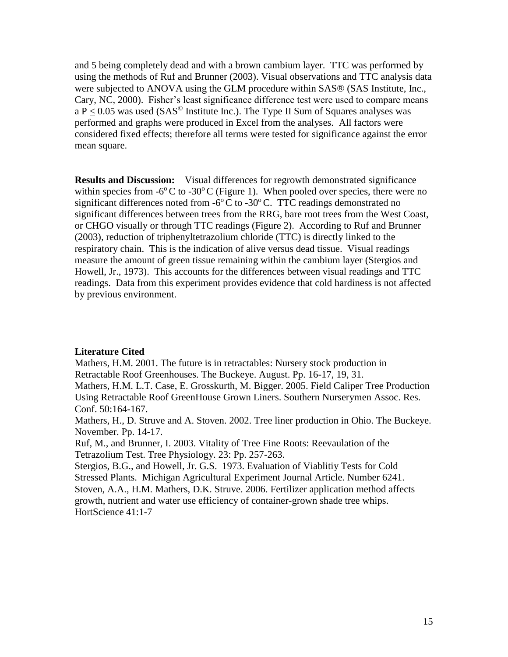and 5 being completely dead and with a brown cambium layer. TTC was performed by using the methods of Ruf and Brunner (2003). Visual observations and TTC analysis data were subjected to ANOVA using the GLM procedure within SAS® (SAS Institute, Inc., Cary, NC, 2000). Fisher's least significance difference test were used to compare means a  $P < 0.05$  was used (SAS<sup>©</sup> Institute Inc.). The Type II Sum of Squares analyses was performed and graphs were produced in Excel from the analyses. All factors were considered fixed effects; therefore all terms were tested for significance against the error mean square.

**Results and Discussion:** Visual differences for regrowth demonstrated significance within species from  $-6^{\circ}$ C to  $-30^{\circ}$ C (Figure 1). When pooled over species, there were no significant differences noted from  $-6^{\circ}$ C to  $-30^{\circ}$ C. TTC readings demonstrated no significant differences between trees from the RRG, bare root trees from the West Coast, or CHGO visually or through TTC readings (Figure 2). According to Ruf and Brunner (2003), reduction of triphenyltetrazolium chloride (TTC) is directly linked to the respiratory chain. This is the indication of alive versus dead tissue. Visual readings measure the amount of green tissue remaining within the cambium layer (Stergios and Howell, Jr., 1973). This accounts for the differences between visual readings and TTC readings. Data from this experiment provides evidence that cold hardiness is not affected by previous environment.

## **Literature Cited**

Mathers, H.M. 2001. The future is in retractables: Nursery stock production in Retractable Roof Greenhouses. The Buckeye. August. Pp. 16-17, 19, 31.

Mathers, H.M. L.T. Case, E. Grosskurth, M. Bigger. 2005. Field Caliper Tree Production Using Retractable Roof GreenHouse Grown Liners. Southern Nurserymen Assoc. Res. Conf. 50:164-167.

Mathers, H., D. Struve and A. Stoven. 2002. Tree liner production in Ohio. The Buckeye. November. Pp. 14-17.

Ruf, M., and Brunner, I. 2003. Vitality of Tree Fine Roots: Reevaulation of the Tetrazolium Test. Tree Physiology. 23: Pp. 257-263.

Stergios, B.G., and Howell, Jr. G.S. 1973. Evaluation of Viablitiy Tests for Cold Stressed Plants. Michigan Agricultural Experiment Journal Article. Number 6241. Stoven, A.A., H.M. Mathers, D.K. Struve. 2006. Fertilizer application method affects growth, nutrient and water use efficiency of container-grown shade tree whips. HortScience 41:1-7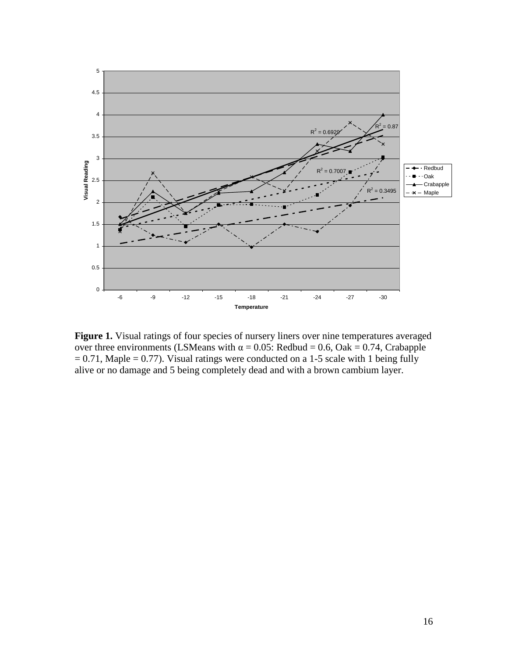

**Figure 1.** Visual ratings of four species of nursery liners over nine temperatures averaged over three environments (LSMeans with  $\alpha = 0.05$ : Redbud = 0.6, Oak = 0.74, Crabapple  $= 0.71$ , Maple  $= 0.77$ ). Visual ratings were conducted on a 1-5 scale with 1 being fully alive or no damage and 5 being completely dead and with a brown cambium layer.